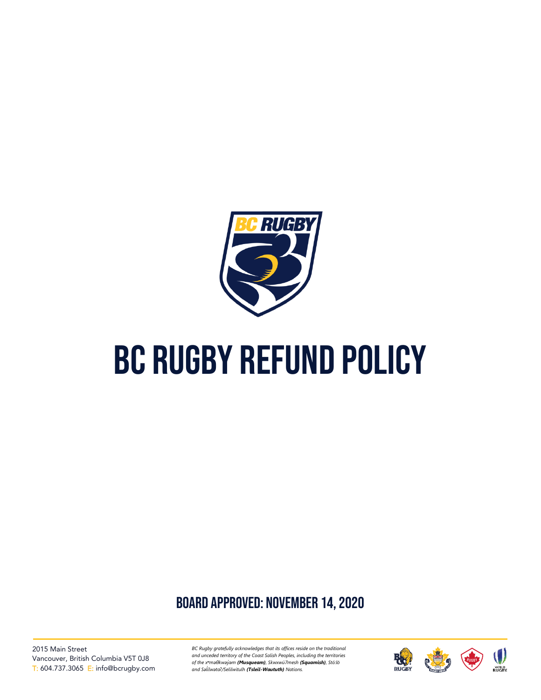

# BC RUGBY REFUND POLICY

## board approved: November 14, 2020

2015 Main Street Vancouver, British Columbia V5T 0J8 T: 604.737.3065 E: info@bcrugby.com

*BC Rugby gratefully acknowledges that its offices reside on the traditional and unceded territory of the Coast Salish Peoples, including the territories of the xʷməθkwəy̓əm (Musqueam), Skwxwú7mesh (Squamish), Stó:lō and Səl ílwətaʔ/Selilwitulh (Tsleil-Waututh) Nations. ̓*

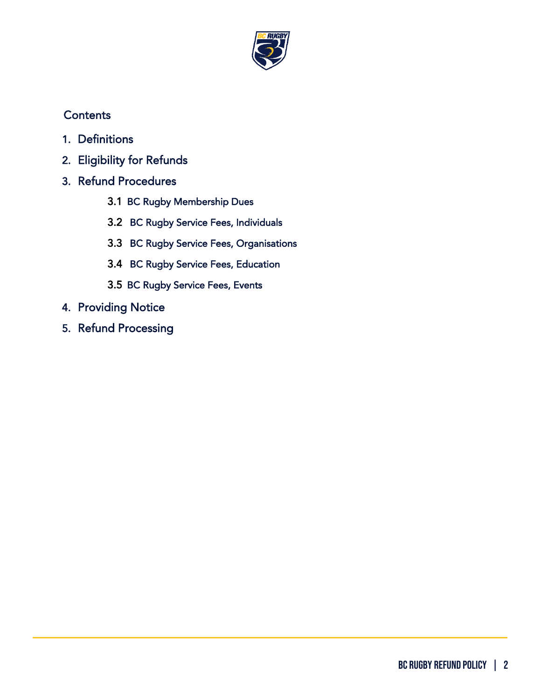

## **Contents**

- 1. [Definitions](#page-2-0)
- 2. [Eligibility for Refunds](#page-3-0)
- 3. [Refund Procedures](#page-4-0) 
	- 3.1 BC Rugby Membership Dues
	- 3.2 BC Rugby Service Fees, Individuals
	- 3.3 BC Rugby Service Fees, Organisations
	- 3.4 BC Rugby Service Fees, Education
	- 3.5 BC Rugby Service Fees, Events
- 4. [Providing Notice](#page-8-0)
- 5. [Refund Processing](#page-8-1)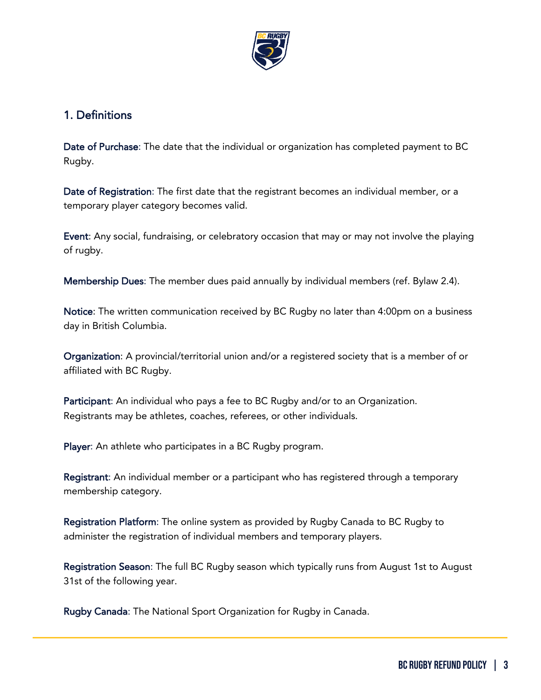

### <span id="page-2-0"></span>1. Definitions

Date of Purchase: The date that the individual or organization has completed payment to BC Rugby.

Date of Registration: The first date that the registrant becomes an individual member, or a temporary player category becomes valid.

Event: Any social, fundraising, or celebratory occasion that may or may not involve the playing of rugby.

Membership Dues: The member dues paid annually by individual members (ref. Bylaw 2.4).

Notice: The written communication received by BC Rugby no later than 4:00pm on a business day in British Columbia.

Organization: A provincial/territorial union and/or a registered society that is a member of or affiliated with BC Rugby.

Participant: An individual who pays a fee to BC Rugby and/or to an Organization. Registrants may be athletes, coaches, referees, or other individuals.

Player: An athlete who participates in a BC Rugby program.

Registrant: An individual member or a participant who has registered through a temporary membership category.

Registration Platform: The online system as provided by Rugby Canada to BC Rugby to administer the registration of individual members and temporary players.

Registration Season: The full BC Rugby season which typically runs from August 1st to August 31st of the following year.

Rugby Canada: The National Sport Organization for Rugby in Canada.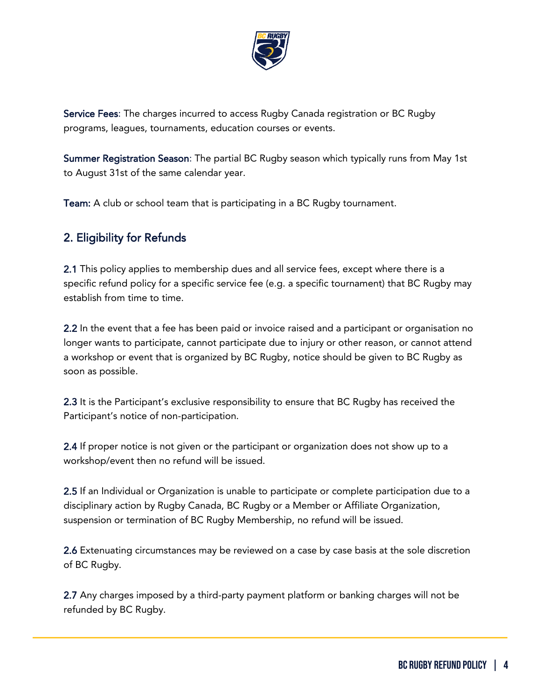

Service Fees: The charges incurred to access Rugby Canada registration or BC Rugby programs, leagues, tournaments, education courses or events.

Summer Registration Season: The partial BC Rugby season which typically runs from May 1st to August 31st of the same calendar year.

Team: A club or school team that is participating in a BC Rugby tournament.

## <span id="page-3-0"></span>2. Eligibility for Refunds

2.1 This policy applies to membership dues and all service fees, except where there is a specific refund policy for a specific service fee (e.g. a specific tournament) that BC Rugby may establish from time to time.

2.2 In the event that a fee has been paid or invoice raised and a participant or organisation no longer wants to participate, cannot participate due to injury or other reason, or cannot attend a workshop or event that is organized by BC Rugby, notice should be given to BC Rugby as soon as possible.

2.3 It is the Participant's exclusive responsibility to ensure that BC Rugby has received the Participant's notice of non-participation.

2.4 If proper notice is not given or the participant or organization does not show up to a workshop/event then no refund will be issued.

2.5 If an Individual or Organization is unable to participate or complete participation due to a disciplinary action by Rugby Canada, BC Rugby or a Member or Affiliate Organization, suspension or termination of BC Rugby Membership, no refund will be issued.

2.6 Extenuating circumstances may be reviewed on a case by case basis at the sole discretion of BC Rugby.

2.7 Any charges imposed by a third-party payment platform or banking charges will not be refunded by BC Rugby.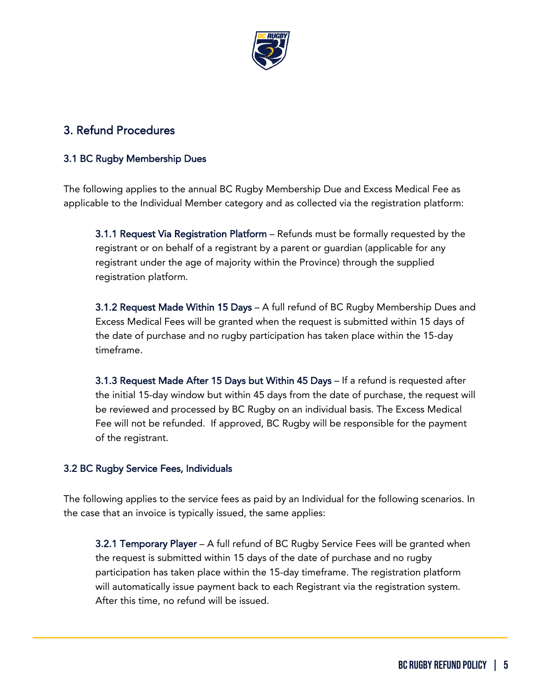

## <span id="page-4-0"></span>3. Refund Procedures

#### 3.1 BC Rugby Membership Dues

The following applies to the annual BC Rugby Membership Due and Excess Medical Fee as applicable to the Individual Member category and as collected via the registration platform:

3.1.1 Request Via Registration Platform – Refunds must be formally requested by the registrant or on behalf of a registrant by a parent or guardian (applicable for any registrant under the age of majority within the Province) through the supplied registration platform.

3.1.2 Request Made Within 15 Days – A full refund of BC Rugby Membership Dues and Excess Medical Fees will be granted when the request is submitted within 15 days of the date of purchase and no rugby participation has taken place within the 15-day timeframe.

3.1.3 Request Made After 15 Days but Within 45 Days – If a refund is requested after the initial 15-day window but within 45 days from the date of purchase, the request will be reviewed and processed by BC Rugby on an individual basis. The Excess Medical Fee will not be refunded. If approved, BC Rugby will be responsible for the payment of the registrant.

#### 3.2 BC Rugby Service Fees, Individuals

The following applies to the service fees as paid by an Individual for the following scenarios. In the case that an invoice is typically issued, the same applies:

3.2.1 Temporary Player – A full refund of BC Rugby Service Fees will be granted when the request is submitted within 15 days of the date of purchase and no rugby participation has taken place within the 15-day timeframe. The registration platform will automatically issue payment back to each Registrant via the registration system. After this time, no refund will be issued.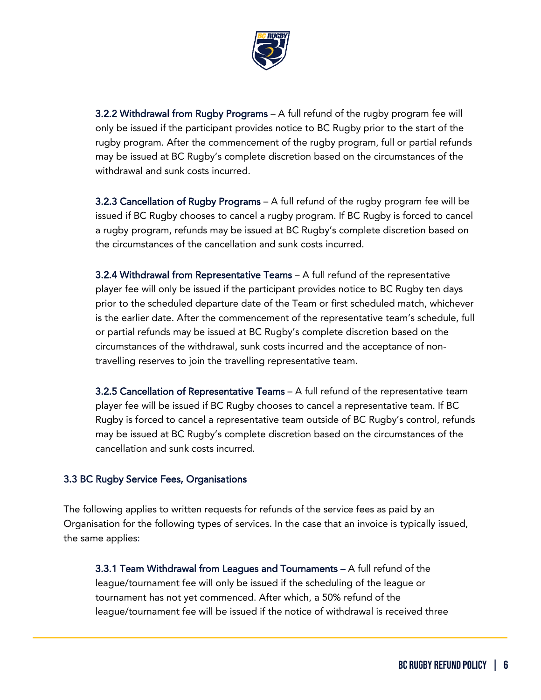

3.2.2 Withdrawal from Rugby Programs – A full refund of the rugby program fee will only be issued if the participant provides notice to BC Rugby prior to the start of the rugby program. After the commencement of the rugby program, full or partial refunds may be issued at BC Rugby's complete discretion based on the circumstances of the withdrawal and sunk costs incurred.

3.2.3 Cancellation of Rugby Programs – A full refund of the rugby program fee will be issued if BC Rugby chooses to cancel a rugby program. If BC Rugby is forced to cancel a rugby program, refunds may be issued at BC Rugby's complete discretion based on the circumstances of the cancellation and sunk costs incurred.

3.2.4 Withdrawal from Representative Teams – A full refund of the representative player fee will only be issued if the participant provides notice to BC Rugby ten days prior to the scheduled departure date of the Team or first scheduled match, whichever is the earlier date. After the commencement of the representative team's schedule, full or partial refunds may be issued at BC Rugby's complete discretion based on the circumstances of the withdrawal, sunk costs incurred and the acceptance of nontravelling reserves to join the travelling representative team.

3.2.5 Cancellation of Representative Teams – A full refund of the representative team player fee will be issued if BC Rugby chooses to cancel a representative team. If BC Rugby is forced to cancel a representative team outside of BC Rugby's control, refunds may be issued at BC Rugby's complete discretion based on the circumstances of the cancellation and sunk costs incurred.

#### 3.3 BC Rugby Service Fees, Organisations

The following applies to written requests for refunds of the service fees as paid by an Organisation for the following types of services. In the case that an invoice is typically issued, the same applies:

3.3.1 Team Withdrawal from Leagues and Tournaments – A full refund of the league/tournament fee will only be issued if the scheduling of the league or tournament has not yet commenced. After which, a 50% refund of the league/tournament fee will be issued if the notice of withdrawal is received three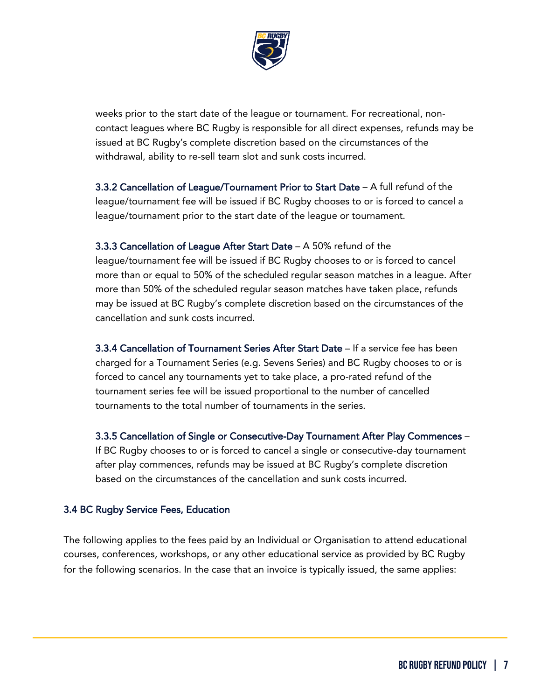

weeks prior to the start date of the league or tournament. For recreational, noncontact leagues where BC Rugby is responsible for all direct expenses, refunds may be issued at BC Rugby's complete discretion based on the circumstances of the withdrawal, ability to re-sell team slot and sunk costs incurred.

3.3.2 Cancellation of League/Tournament Prior to Start Date – A full refund of the league/tournament fee will be issued if BC Rugby chooses to or is forced to cancel a league/tournament prior to the start date of the league or tournament.

3.3.3 Cancellation of League After Start Date – A 50% refund of the league/tournament fee will be issued if BC Rugby chooses to or is forced to cancel more than or equal to 50% of the scheduled regular season matches in a league. After more than 50% of the scheduled regular season matches have taken place, refunds may be issued at BC Rugby's complete discretion based on the circumstances of the cancellation and sunk costs incurred.

3.3.4 Cancellation of Tournament Series After Start Date – If a service fee has been charged for a Tournament Series (e.g. Sevens Series) and BC Rugby chooses to or is forced to cancel any tournaments yet to take place, a pro-rated refund of the tournament series fee will be issued proportional to the number of cancelled tournaments to the total number of tournaments in the series.

3.3.5 Cancellation of Single or Consecutive-Day Tournament After Play Commences – If BC Rugby chooses to or is forced to cancel a single or consecutive-day tournament after play commences, refunds may be issued at BC Rugby's complete discretion based on the circumstances of the cancellation and sunk costs incurred.

#### 3.4 BC Rugby Service Fees, Education

The following applies to the fees paid by an Individual or Organisation to attend educational courses, conferences, workshops, or any other educational service as provided by BC Rugby for the following scenarios. In the case that an invoice is typically issued, the same applies: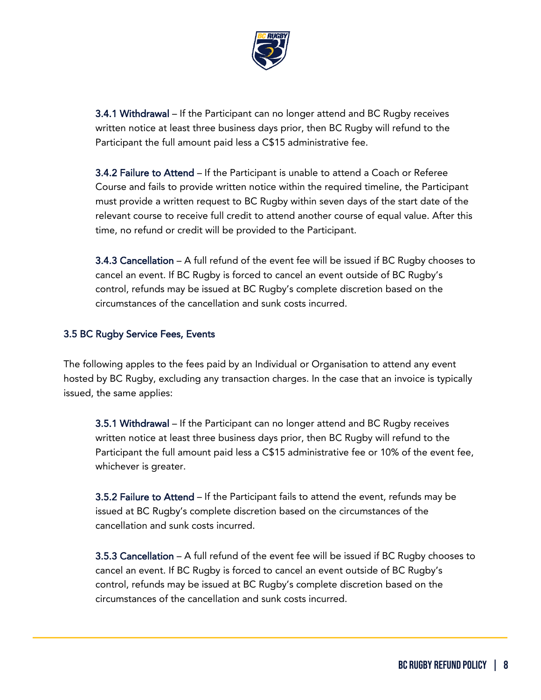

3.4.1 Withdrawal – If the Participant can no longer attend and BC Rugby receives written notice at least three business days prior, then BC Rugby will refund to the Participant the full amount paid less a C\$15 administrative fee.

3.4.2 Failure to Attend – If the Participant is unable to attend a Coach or Referee Course and fails to provide written notice within the required timeline, the Participant must provide a written request to BC Rugby within seven days of the start date of the relevant course to receive full credit to attend another course of equal value. After this time, no refund or credit will be provided to the Participant.

3.4.3 Cancellation – A full refund of the event fee will be issued if BC Rugby chooses to cancel an event. If BC Rugby is forced to cancel an event outside of BC Rugby's control, refunds may be issued at BC Rugby's complete discretion based on the circumstances of the cancellation and sunk costs incurred.

#### 3.5 BC Rugby Service Fees, Events

The following apples to the fees paid by an Individual or Organisation to attend any event hosted by BC Rugby, excluding any transaction charges. In the case that an invoice is typically issued, the same applies:

3.5.1 Withdrawal – If the Participant can no longer attend and BC Rugby receives written notice at least three business days prior, then BC Rugby will refund to the Participant the full amount paid less a C\$15 administrative fee or 10% of the event fee, whichever is greater.

3.5.2 Failure to Attend – If the Participant fails to attend the event, refunds may be issued at BC Rugby's complete discretion based on the circumstances of the cancellation and sunk costs incurred.

3.5.3 Cancellation – A full refund of the event fee will be issued if BC Rugby chooses to cancel an event. If BC Rugby is forced to cancel an event outside of BC Rugby's control, refunds may be issued at BC Rugby's complete discretion based on the circumstances of the cancellation and sunk costs incurred.